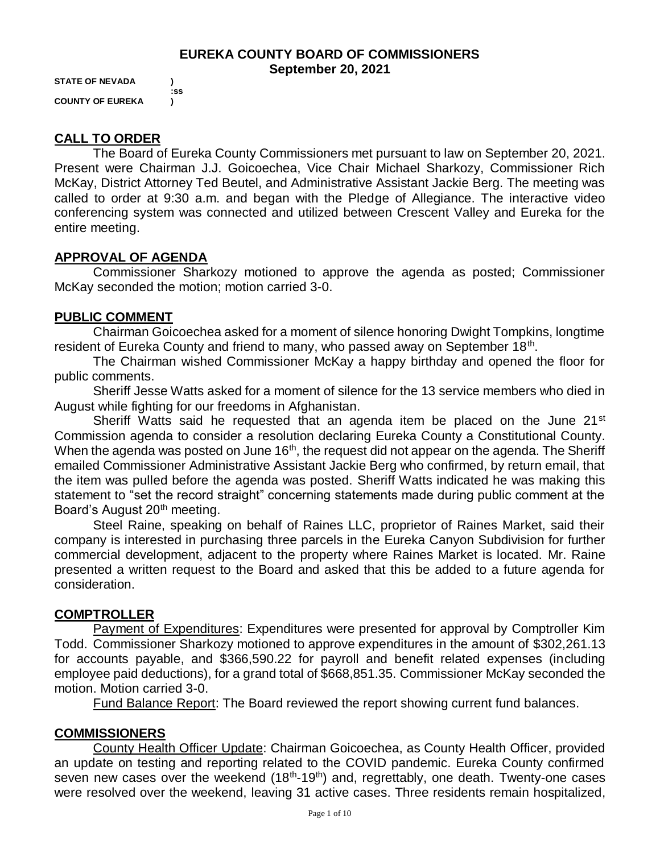#### **EUREKA COUNTY BOARD OF COMMISSIONERS September 20, 2021**

**STATE OF NEVADA ) :ss COUNTY OF EUREKA )**

## **CALL TO ORDER**

The Board of Eureka County Commissioners met pursuant to law on September 20, 2021. Present were Chairman J.J. Goicoechea, Vice Chair Michael Sharkozy, Commissioner Rich McKay, District Attorney Ted Beutel, and Administrative Assistant Jackie Berg. The meeting was called to order at 9:30 a.m. and began with the Pledge of Allegiance. The interactive video conferencing system was connected and utilized between Crescent Valley and Eureka for the entire meeting.

### **APPROVAL OF AGENDA**

Commissioner Sharkozy motioned to approve the agenda as posted; Commissioner McKay seconded the motion; motion carried 3-0.

#### **PUBLIC COMMENT**

Chairman Goicoechea asked for a moment of silence honoring Dwight Tompkins, longtime resident of Eureka County and friend to many, who passed away on September 18<sup>th</sup>.

The Chairman wished Commissioner McKay a happy birthday and opened the floor for public comments.

Sheriff Jesse Watts asked for a moment of silence for the 13 service members who died in August while fighting for our freedoms in Afghanistan.

Sheriff Watts said he requested that an agenda item be placed on the June 21<sup>st</sup> Commission agenda to consider a resolution declaring Eureka County a Constitutional County. When the agenda was posted on June  $16<sup>th</sup>$ , the request did not appear on the agenda. The Sheriff emailed Commissioner Administrative Assistant Jackie Berg who confirmed, by return email, that the item was pulled before the agenda was posted. Sheriff Watts indicated he was making this statement to "set the record straight" concerning statements made during public comment at the Board's August 20<sup>th</sup> meeting.

Steel Raine, speaking on behalf of Raines LLC, proprietor of Raines Market, said their company is interested in purchasing three parcels in the Eureka Canyon Subdivision for further commercial development, adjacent to the property where Raines Market is located. Mr. Raine presented a written request to the Board and asked that this be added to a future agenda for consideration.

### **COMPTROLLER**

Payment of Expenditures: Expenditures were presented for approval by Comptroller Kim Todd. Commissioner Sharkozy motioned to approve expenditures in the amount of \$302,261.13 for accounts payable, and \$366,590.22 for payroll and benefit related expenses (including employee paid deductions), for a grand total of \$668,851.35. Commissioner McKay seconded the motion. Motion carried 3-0.

Fund Balance Report: The Board reviewed the report showing current fund balances.

### **COMMISSIONERS**

County Health Officer Update: Chairman Goicoechea, as County Health Officer, provided an update on testing and reporting related to the COVID pandemic. Eureka County confirmed seven new cases over the weekend  $(18<sup>th</sup>-19<sup>th</sup>)$  and, regrettably, one death. Twenty-one cases were resolved over the weekend, leaving 31 active cases. Three residents remain hospitalized,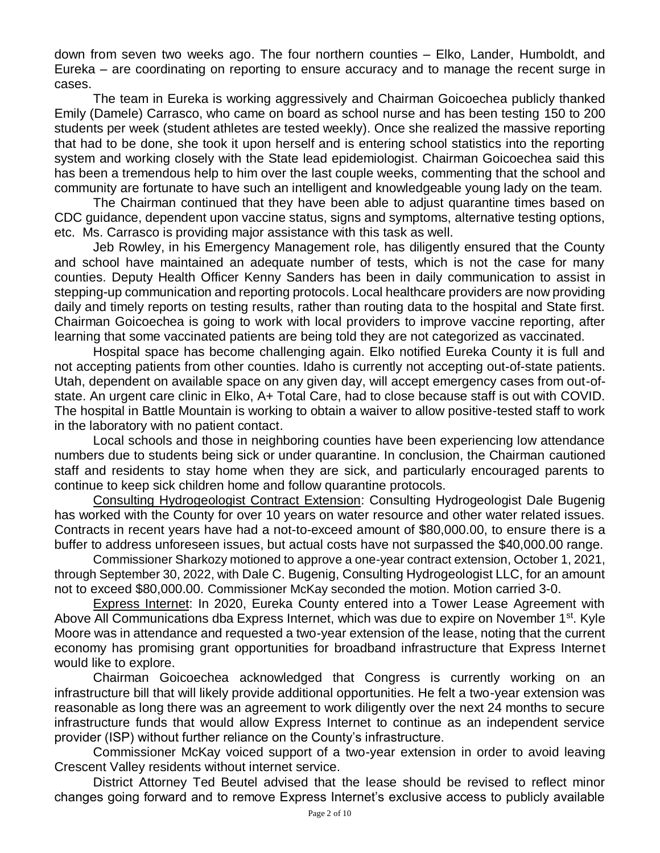down from seven two weeks ago. The four northern counties – Elko, Lander, Humboldt, and Eureka – are coordinating on reporting to ensure accuracy and to manage the recent surge in cases.

The team in Eureka is working aggressively and Chairman Goicoechea publicly thanked Emily (Damele) Carrasco, who came on board as school nurse and has been testing 150 to 200 students per week (student athletes are tested weekly). Once she realized the massive reporting that had to be done, she took it upon herself and is entering school statistics into the reporting system and working closely with the State lead epidemiologist. Chairman Goicoechea said this has been a tremendous help to him over the last couple weeks, commenting that the school and community are fortunate to have such an intelligent and knowledgeable young lady on the team.

The Chairman continued that they have been able to adjust quarantine times based on CDC guidance, dependent upon vaccine status, signs and symptoms, alternative testing options, etc. Ms. Carrasco is providing major assistance with this task as well.

Jeb Rowley, in his Emergency Management role, has diligently ensured that the County and school have maintained an adequate number of tests, which is not the case for many counties. Deputy Health Officer Kenny Sanders has been in daily communication to assist in stepping-up communication and reporting protocols. Local healthcare providers are now providing daily and timely reports on testing results, rather than routing data to the hospital and State first. Chairman Goicoechea is going to work with local providers to improve vaccine reporting, after learning that some vaccinated patients are being told they are not categorized as vaccinated.

Hospital space has become challenging again. Elko notified Eureka County it is full and not accepting patients from other counties. Idaho is currently not accepting out-of-state patients. Utah, dependent on available space on any given day, will accept emergency cases from out-ofstate. An urgent care clinic in Elko, A+ Total Care, had to close because staff is out with COVID. The hospital in Battle Mountain is working to obtain a waiver to allow positive-tested staff to work in the laboratory with no patient contact.

Local schools and those in neighboring counties have been experiencing low attendance numbers due to students being sick or under quarantine. In conclusion, the Chairman cautioned staff and residents to stay home when they are sick, and particularly encouraged parents to continue to keep sick children home and follow quarantine protocols.

Consulting Hydrogeologist Contract Extension: Consulting Hydrogeologist Dale Bugenig has worked with the County for over 10 years on water resource and other water related issues. Contracts in recent years have had a not-to-exceed amount of \$80,000.00, to ensure there is a buffer to address unforeseen issues, but actual costs have not surpassed the \$40,000.00 range.

Commissioner Sharkozy motioned to approve a one-year contract extension, October 1, 2021, through September 30, 2022, with Dale C. Bugenig, Consulting Hydrogeologist LLC, for an amount not to exceed \$80,000.00. Commissioner McKay seconded the motion. Motion carried 3-0.

Express Internet: In 2020, Eureka County entered into a Tower Lease Agreement with Above All Communications dba Express Internet, which was due to expire on November 1<sup>st</sup>. Kyle Moore was in attendance and requested a two-year extension of the lease, noting that the current economy has promising grant opportunities for broadband infrastructure that Express Internet would like to explore.

Chairman Goicoechea acknowledged that Congress is currently working on an infrastructure bill that will likely provide additional opportunities. He felt a two-year extension was reasonable as long there was an agreement to work diligently over the next 24 months to secure infrastructure funds that would allow Express Internet to continue as an independent service provider (ISP) without further reliance on the County's infrastructure.

Commissioner McKay voiced support of a two-year extension in order to avoid leaving Crescent Valley residents without internet service.

District Attorney Ted Beutel advised that the lease should be revised to reflect minor changes going forward and to remove Express Internet's exclusive access to publicly available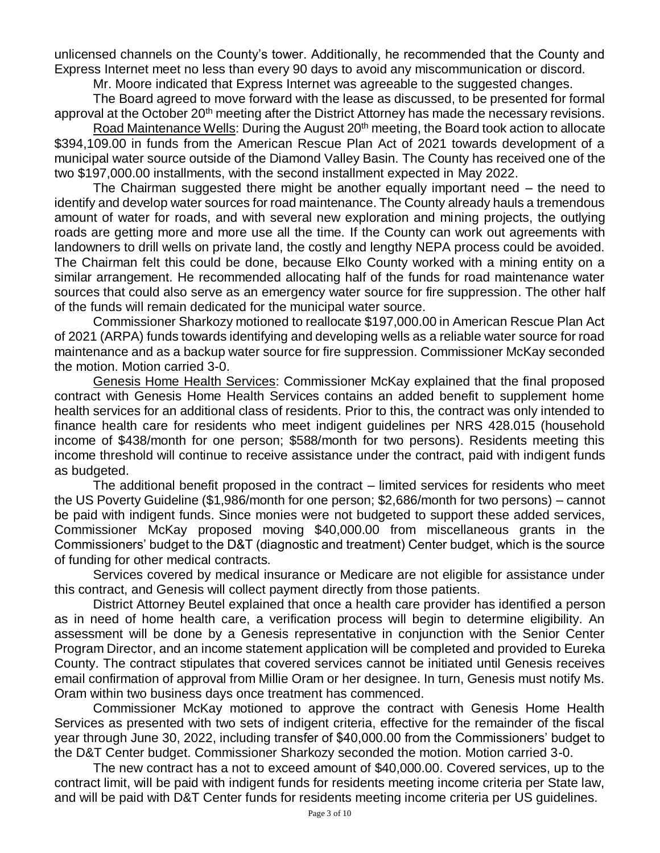unlicensed channels on the County's tower. Additionally, he recommended that the County and Express Internet meet no less than every 90 days to avoid any miscommunication or discord.

Mr. Moore indicated that Express Internet was agreeable to the suggested changes.

The Board agreed to move forward with the lease as discussed, to be presented for formal approval at the October 20<sup>th</sup> meeting after the District Attorney has made the necessary revisions.

Road Maintenance Wells: During the August 20<sup>th</sup> meeting, the Board took action to allocate \$394,109.00 in funds from the American Rescue Plan Act of 2021 towards development of a municipal water source outside of the Diamond Valley Basin. The County has received one of the two \$197,000.00 installments, with the second installment expected in May 2022.

The Chairman suggested there might be another equally important need – the need to identify and develop water sources for road maintenance. The County already hauls a tremendous amount of water for roads, and with several new exploration and mining projects, the outlying roads are getting more and more use all the time. If the County can work out agreements with landowners to drill wells on private land, the costly and lengthy NEPA process could be avoided. The Chairman felt this could be done, because Elko County worked with a mining entity on a similar arrangement. He recommended allocating half of the funds for road maintenance water sources that could also serve as an emergency water source for fire suppression. The other half of the funds will remain dedicated for the municipal water source.

Commissioner Sharkozy motioned to reallocate \$197,000.00 in American Rescue Plan Act of 2021 (ARPA) funds towards identifying and developing wells as a reliable water source for road maintenance and as a backup water source for fire suppression. Commissioner McKay seconded the motion. Motion carried 3-0.

Genesis Home Health Services: Commissioner McKay explained that the final proposed contract with Genesis Home Health Services contains an added benefit to supplement home health services for an additional class of residents. Prior to this, the contract was only intended to finance health care for residents who meet indigent guidelines per NRS 428.015 (household income of \$438/month for one person; \$588/month for two persons). Residents meeting this income threshold will continue to receive assistance under the contract, paid with indigent funds as budgeted.

The additional benefit proposed in the contract – limited services for residents who meet the US Poverty Guideline (\$1,986/month for one person; \$2,686/month for two persons) – cannot be paid with indigent funds. Since monies were not budgeted to support these added services, Commissioner McKay proposed moving \$40,000.00 from miscellaneous grants in the Commissioners' budget to the D&T (diagnostic and treatment) Center budget, which is the source of funding for other medical contracts.

Services covered by medical insurance or Medicare are not eligible for assistance under this contract, and Genesis will collect payment directly from those patients.

District Attorney Beutel explained that once a health care provider has identified a person as in need of home health care, a verification process will begin to determine eligibility. An assessment will be done by a Genesis representative in conjunction with the Senior Center Program Director, and an income statement application will be completed and provided to Eureka County. The contract stipulates that covered services cannot be initiated until Genesis receives email confirmation of approval from Millie Oram or her designee. In turn, Genesis must notify Ms. Oram within two business days once treatment has commenced.

Commissioner McKay motioned to approve the contract with Genesis Home Health Services as presented with two sets of indigent criteria, effective for the remainder of the fiscal year through June 30, 2022, including transfer of \$40,000.00 from the Commissioners' budget to the D&T Center budget. Commissioner Sharkozy seconded the motion. Motion carried 3-0.

The new contract has a not to exceed amount of \$40,000.00. Covered services, up to the contract limit, will be paid with indigent funds for residents meeting income criteria per State law, and will be paid with D&T Center funds for residents meeting income criteria per US guidelines.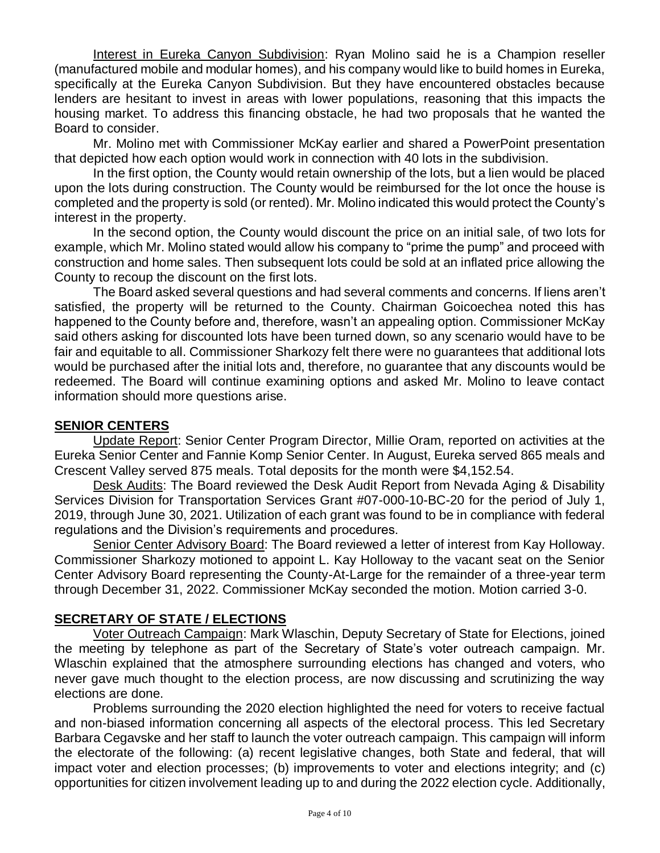Interest in Eureka Canyon Subdivision: Ryan Molino said he is a Champion reseller (manufactured mobile and modular homes), and his company would like to build homes in Eureka, specifically at the Eureka Canyon Subdivision. But they have encountered obstacles because lenders are hesitant to invest in areas with lower populations, reasoning that this impacts the housing market. To address this financing obstacle, he had two proposals that he wanted the Board to consider.

Mr. Molino met with Commissioner McKay earlier and shared a PowerPoint presentation that depicted how each option would work in connection with 40 lots in the subdivision.

In the first option, the County would retain ownership of the lots, but a lien would be placed upon the lots during construction. The County would be reimbursed for the lot once the house is completed and the property is sold (or rented). Mr. Molino indicated this would protect the County's interest in the property.

In the second option, the County would discount the price on an initial sale, of two lots for example, which Mr. Molino stated would allow his company to "prime the pump" and proceed with construction and home sales. Then subsequent lots could be sold at an inflated price allowing the County to recoup the discount on the first lots.

The Board asked several questions and had several comments and concerns. If liens aren't satisfied, the property will be returned to the County. Chairman Goicoechea noted this has happened to the County before and, therefore, wasn't an appealing option. Commissioner McKay said others asking for discounted lots have been turned down, so any scenario would have to be fair and equitable to all. Commissioner Sharkozy felt there were no guarantees that additional lots would be purchased after the initial lots and, therefore, no guarantee that any discounts would be redeemed. The Board will continue examining options and asked Mr. Molino to leave contact information should more questions arise.

## **SENIOR CENTERS**

Update Report: Senior Center Program Director, Millie Oram, reported on activities at the Eureka Senior Center and Fannie Komp Senior Center. In August, Eureka served 865 meals and Crescent Valley served 875 meals. Total deposits for the month were \$4,152.54.

Desk Audits: The Board reviewed the Desk Audit Report from Nevada Aging & Disability Services Division for Transportation Services Grant #07-000-10-BC-20 for the period of July 1, 2019, through June 30, 2021. Utilization of each grant was found to be in compliance with federal regulations and the Division's requirements and procedures.

Senior Center Advisory Board: The Board reviewed a letter of interest from Kay Holloway. Commissioner Sharkozy motioned to appoint L. Kay Holloway to the vacant seat on the Senior Center Advisory Board representing the County-At-Large for the remainder of a three-year term through December 31, 2022. Commissioner McKay seconded the motion. Motion carried 3-0.

### **SECRETARY OF STATE / ELECTIONS**

Voter Outreach Campaign: Mark Wlaschin, Deputy Secretary of State for Elections, joined the meeting by telephone as part of the Secretary of State's voter outreach campaign. Mr. Wlaschin explained that the atmosphere surrounding elections has changed and voters, who never gave much thought to the election process, are now discussing and scrutinizing the way elections are done.

Problems surrounding the 2020 election highlighted the need for voters to receive factual and non-biased information concerning all aspects of the electoral process. This led Secretary Barbara Cegavske and her staff to launch the voter outreach campaign. This campaign will inform the electorate of the following: (a) recent legislative changes, both State and federal, that will impact voter and election processes; (b) improvements to voter and elections integrity; and (c) opportunities for citizen involvement leading up to and during the 2022 election cycle. Additionally,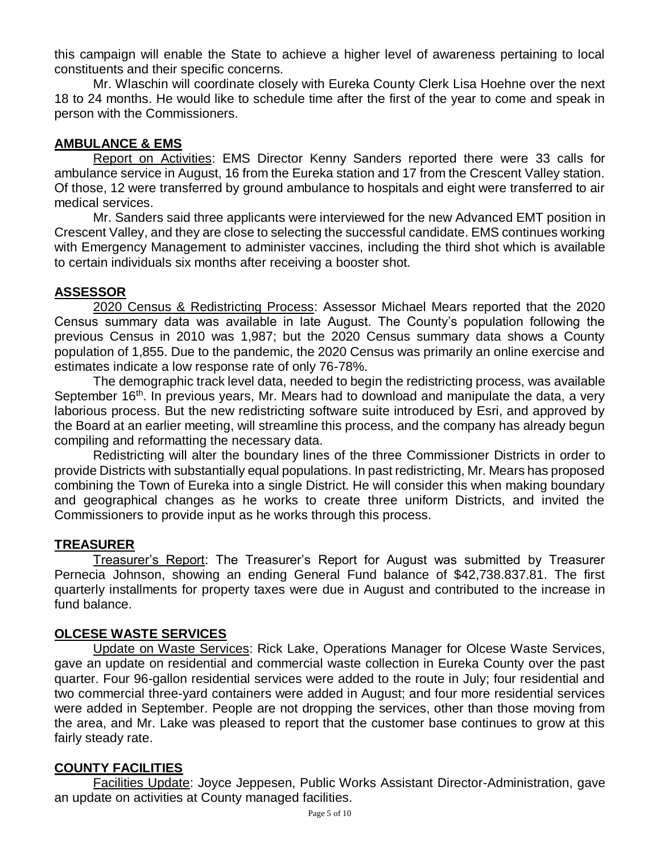this campaign will enable the State to achieve a higher level of awareness pertaining to local constituents and their specific concerns.

Mr. Wlaschin will coordinate closely with Eureka County Clerk Lisa Hoehne over the next 18 to 24 months. He would like to schedule time after the first of the year to come and speak in person with the Commissioners.

### **AMBULANCE & EMS**

Report on Activities: EMS Director Kenny Sanders reported there were 33 calls for ambulance service in August, 16 from the Eureka station and 17 from the Crescent Valley station. Of those, 12 were transferred by ground ambulance to hospitals and eight were transferred to air medical services.

Mr. Sanders said three applicants were interviewed for the new Advanced EMT position in Crescent Valley, and they are close to selecting the successful candidate. EMS continues working with Emergency Management to administer vaccines, including the third shot which is available to certain individuals six months after receiving a booster shot.

### **ASSESSOR**

2020 Census & Redistricting Process: Assessor Michael Mears reported that the 2020 Census summary data was available in late August. The County's population following the previous Census in 2010 was 1,987; but the 2020 Census summary data shows a County population of 1,855. Due to the pandemic, the 2020 Census was primarily an online exercise and estimates indicate a low response rate of only 76-78%.

The demographic track level data, needed to begin the redistricting process, was available September 16<sup>th</sup>. In previous years, Mr. Mears had to download and manipulate the data, a very laborious process. But the new redistricting software suite introduced by Esri, and approved by the Board at an earlier meeting, will streamline this process, and the company has already begun compiling and reformatting the necessary data.

Redistricting will alter the boundary lines of the three Commissioner Districts in order to provide Districts with substantially equal populations. In past redistricting, Mr. Mears has proposed combining the Town of Eureka into a single District. He will consider this when making boundary and geographical changes as he works to create three uniform Districts, and invited the Commissioners to provide input as he works through this process.

# **TREASURER**

Treasurer's Report: The Treasurer's Report for August was submitted by Treasurer Pernecia Johnson, showing an ending General Fund balance of \$42,738.837.81. The first quarterly installments for property taxes were due in August and contributed to the increase in fund balance.

### **OLCESE WASTE SERVICES**

Update on Waste Services: Rick Lake, Operations Manager for Olcese Waste Services, gave an update on residential and commercial waste collection in Eureka County over the past quarter. Four 96-gallon residential services were added to the route in July; four residential and two commercial three-yard containers were added in August; and four more residential services were added in September. People are not dropping the services, other than those moving from the area, and Mr. Lake was pleased to report that the customer base continues to grow at this fairly steady rate.

# **COUNTY FACILITIES**

Facilities Update: Joyce Jeppesen, Public Works Assistant Director-Administration, gave an update on activities at County managed facilities.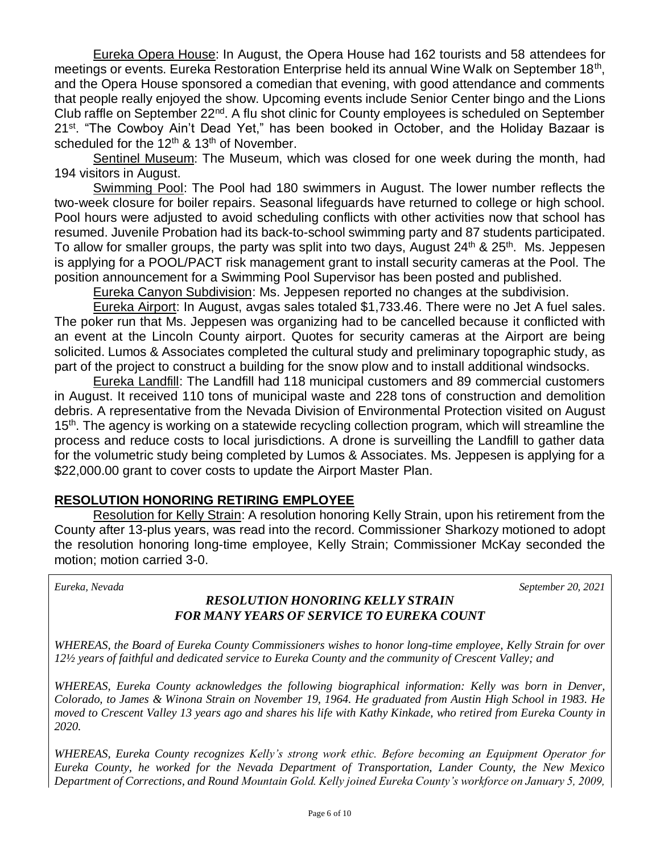Eureka Opera House: In August, the Opera House had 162 tourists and 58 attendees for meetings or events. Eureka Restoration Enterprise held its annual Wine Walk on September 18<sup>th</sup>, and the Opera House sponsored a comedian that evening, with good attendance and comments that people really enjoyed the show. Upcoming events include Senior Center bingo and the Lions Club raffle on September 22<sup>nd</sup>. A flu shot clinic for County employees is scheduled on September 21<sup>st</sup>. "The Cowboy Ain't Dead Yet," has been booked in October, and the Holiday Bazaar is scheduled for the  $12<sup>th</sup>$  &  $13<sup>th</sup>$  of November.

Sentinel Museum: The Museum, which was closed for one week during the month, had 194 visitors in August.

Swimming Pool: The Pool had 180 swimmers in August. The lower number reflects the two-week closure for boiler repairs. Seasonal lifeguards have returned to college or high school. Pool hours were adjusted to avoid scheduling conflicts with other activities now that school has resumed. Juvenile Probation had its back-to-school swimming party and 87 students participated. To allow for smaller groups, the party was split into two days, August 24<sup>th</sup> & 25<sup>th</sup>. Ms. Jeppesen is applying for a POOL/PACT risk management grant to install security cameras at the Pool. The position announcement for a Swimming Pool Supervisor has been posted and published.

Eureka Canyon Subdivision: Ms. Jeppesen reported no changes at the subdivision.

Eureka Airport: In August, avgas sales totaled \$1,733.46. There were no Jet A fuel sales. The poker run that Ms. Jeppesen was organizing had to be cancelled because it conflicted with an event at the Lincoln County airport. Quotes for security cameras at the Airport are being solicited. Lumos & Associates completed the cultural study and preliminary topographic study, as part of the project to construct a building for the snow plow and to install additional windsocks.

Eureka Landfill: The Landfill had 118 municipal customers and 89 commercial customers in August. It received 110 tons of municipal waste and 228 tons of construction and demolition debris. A representative from the Nevada Division of Environmental Protection visited on August 15<sup>th</sup>. The agency is working on a statewide recycling collection program, which will streamline the process and reduce costs to local jurisdictions. A drone is surveilling the Landfill to gather data for the volumetric study being completed by Lumos & Associates. Ms. Jeppesen is applying for a \$22,000.00 grant to cover costs to update the Airport Master Plan.

### **RESOLUTION HONORING RETIRING EMPLOYEE**

Resolution for Kelly Strain: A resolution honoring Kelly Strain, upon his retirement from the County after 13-plus years, was read into the record. Commissioner Sharkozy motioned to adopt the resolution honoring long-time employee, Kelly Strain; Commissioner McKay seconded the motion; motion carried 3-0.

*Eureka, Nevada September 20, 2021* 

### *RESOLUTION HONORING KELLY STRAIN FOR MANY YEARS OF SERVICE TO EUREKA COUNT*

*WHEREAS, the Board of Eureka County Commissioners wishes to honor long-time employee, Kelly Strain for over 12½ years of faithful and dedicated service to Eureka County and the community of Crescent Valley; and*

*WHEREAS, Eureka County acknowledges the following biographical information: Kelly was born in Denver, Colorado, to James & Winona Strain on November 19, 1964. He graduated from Austin High School in 1983. He moved to Crescent Valley 13 years ago and shares his life with Kathy Kinkade, who retired from Eureka County in 2020.* 

*WHEREAS, Eureka County recognizes Kelly's strong work ethic. Before becoming an Equipment Operator for Eureka County, he worked for the Nevada Department of Transportation, Lander County, the New Mexico Department of Corrections, and Round Mountain Gold. Kelly joined Eureka County's workforce on January 5, 2009,*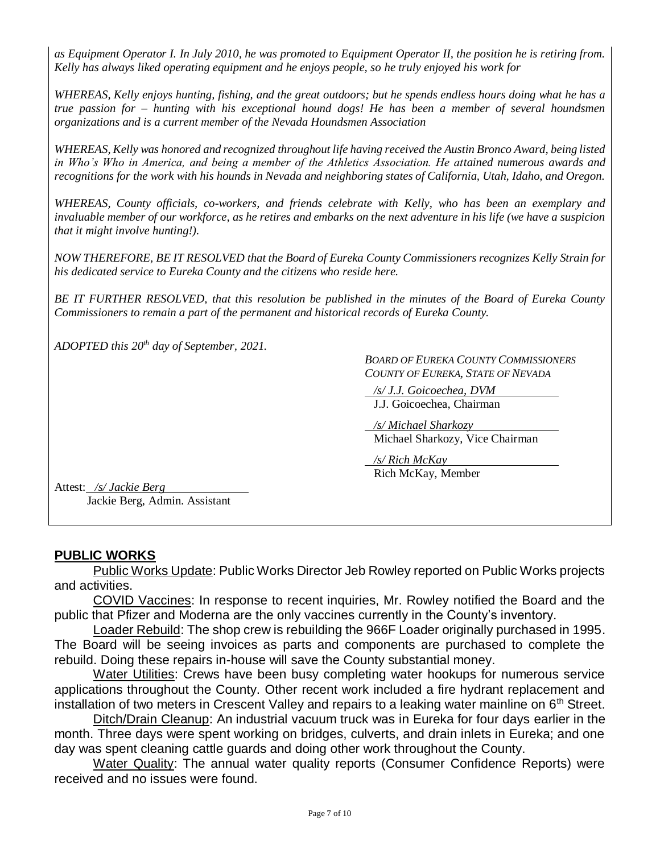*as Equipment Operator I. In July 2010, he was promoted to Equipment Operator II, the position he is retiring from. Kelly has always liked operating equipment and he enjoys people, so he truly enjoyed his work for*

*WHEREAS, Kelly enjoys hunting, fishing, and the great outdoors; but he spends endless hours doing what he has a true passion for – hunting with his exceptional hound dogs! He has been a member of several houndsmen organizations and is a current member of the Nevada Houndsmen Association*

*WHEREAS, Kelly was honored and recognized throughout life having received the Austin Bronco Award, being listed in Who's Who in America, and being a member of the Athletics Association. He attained numerous awards and recognitions for the work with his hounds in Nevada and neighboring states of California, Utah, Idaho, and Oregon.*

*WHEREAS, County officials, co-workers, and friends celebrate with Kelly, who has been an exemplary and invaluable member of our workforce, as he retires and embarks on the next adventure in his life (we have a suspicion that it might involve hunting!).*

*NOW THEREFORE, BE IT RESOLVED that the Board of Eureka County Commissioners recognizes Kelly Strain for his dedicated service to Eureka County and the citizens who reside here.* 

*BE IT FURTHER RESOLVED, that this resolution be published in the minutes of the Board of Eureka County Commissioners to remain a part of the permanent and historical records of Eureka County.* 

*ADOPTED this 20th day of September, 2021.* 

*BOARD OF EUREKA COUNTY COMMISSIONERS COUNTY OF EUREKA, STATE OF NEVADA* 

 */s/ J.J. Goicoechea, DVM* J.J. Goicoechea, Chairman

 */s/ Michael Sharkozy* Michael Sharkozy, Vice Chairman

 */s/ Rich McKay* Rich McKay, Member

Attest: */s/ Jackie Berg* Jackie Berg, Admin. Assistant

### **PUBLIC WORKS**

Public Works Update: Public Works Director Jeb Rowley reported on Public Works projects and activities.

COVID Vaccines: In response to recent inquiries, Mr. Rowley notified the Board and the public that Pfizer and Moderna are the only vaccines currently in the County's inventory.

Loader Rebuild: The shop crew is rebuilding the 966F Loader originally purchased in 1995. The Board will be seeing invoices as parts and components are purchased to complete the rebuild. Doing these repairs in-house will save the County substantial money.

Water Utilities: Crews have been busy completing water hookups for numerous service applications throughout the County. Other recent work included a fire hydrant replacement and installation of two meters in Crescent Valley and repairs to a leaking water mainline on  $6<sup>th</sup>$  Street.

Ditch/Drain Cleanup: An industrial vacuum truck was in Eureka for four days earlier in the month. Three days were spent working on bridges, culverts, and drain inlets in Eureka; and one day was spent cleaning cattle guards and doing other work throughout the County.

Water Quality: The annual water quality reports (Consumer Confidence Reports) were received and no issues were found.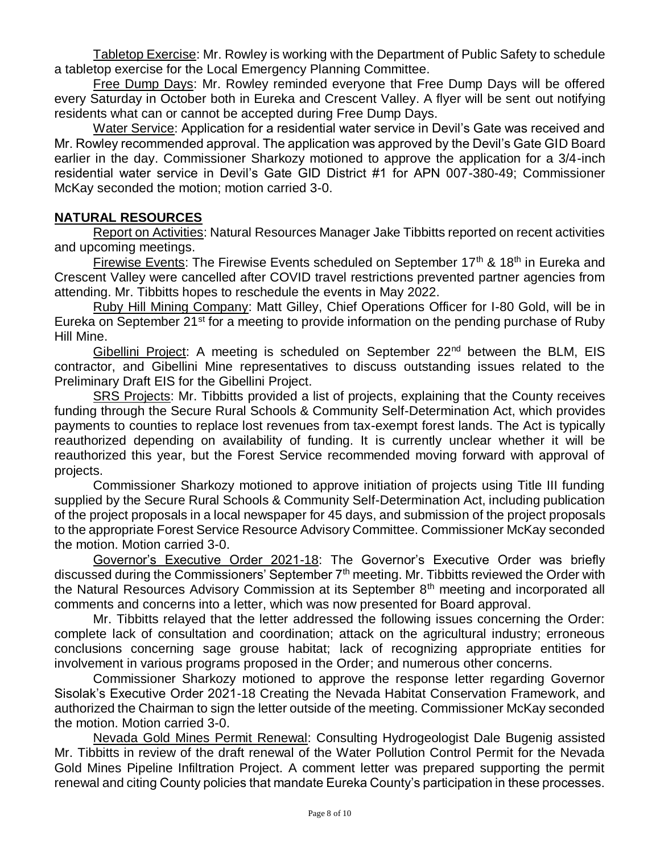Tabletop Exercise: Mr. Rowley is working with the Department of Public Safety to schedule a tabletop exercise for the Local Emergency Planning Committee.

Free Dump Days: Mr. Rowley reminded everyone that Free Dump Days will be offered every Saturday in October both in Eureka and Crescent Valley. A flyer will be sent out notifying residents what can or cannot be accepted during Free Dump Days.

Water Service: Application for a residential water service in Devil's Gate was received and Mr. Rowley recommended approval. The application was approved by the Devil's Gate GID Board earlier in the day. Commissioner Sharkozy motioned to approve the application for a 3/4-inch residential water service in Devil's Gate GID District #1 for APN 007-380-49; Commissioner McKay seconded the motion; motion carried 3-0.

# **NATURAL RESOURCES**

Report on Activities: Natural Resources Manager Jake Tibbitts reported on recent activities and upcoming meetings.

Firewise Events: The Firewise Events scheduled on September  $17<sup>th</sup>$  &  $18<sup>th</sup>$  in Eureka and Crescent Valley were cancelled after COVID travel restrictions prevented partner agencies from attending. Mr. Tibbitts hopes to reschedule the events in May 2022.

Ruby Hill Mining Company: Matt Gilley, Chief Operations Officer for I-80 Gold, will be in Eureka on September 21<sup>st</sup> for a meeting to provide information on the pending purchase of Ruby Hill Mine.

Gibellini Project: A meeting is scheduled on September 22<sup>nd</sup> between the BLM, EIS contractor, and Gibellini Mine representatives to discuss outstanding issues related to the Preliminary Draft EIS for the Gibellini Project.

SRS Projects: Mr. Tibbitts provided a list of projects, explaining that the County receives funding through the Secure Rural Schools & Community Self-Determination Act, which provides payments to counties to replace lost revenues from tax-exempt forest lands. The Act is typically reauthorized depending on availability of funding. It is currently unclear whether it will be reauthorized this year, but the Forest Service recommended moving forward with approval of projects.

Commissioner Sharkozy motioned to approve initiation of projects using Title III funding supplied by the Secure Rural Schools & Community Self-Determination Act, including publication of the project proposals in a local newspaper for 45 days, and submission of the project proposals to the appropriate Forest Service Resource Advisory Committee. Commissioner McKay seconded the motion. Motion carried 3-0.

Governor's Executive Order 2021-18: The Governor's Executive Order was briefly discussed during the Commissioners' September 7th meeting. Mr. Tibbitts reviewed the Order with the Natural Resources Advisory Commission at its September  $8<sup>th</sup>$  meeting and incorporated all comments and concerns into a letter, which was now presented for Board approval.

Mr. Tibbitts relayed that the letter addressed the following issues concerning the Order: complete lack of consultation and coordination; attack on the agricultural industry; erroneous conclusions concerning sage grouse habitat; lack of recognizing appropriate entities for involvement in various programs proposed in the Order; and numerous other concerns.

Commissioner Sharkozy motioned to approve the response letter regarding Governor Sisolak's Executive Order 2021-18 Creating the Nevada Habitat Conservation Framework, and authorized the Chairman to sign the letter outside of the meeting. Commissioner McKay seconded the motion. Motion carried 3-0.

Nevada Gold Mines Permit Renewal: Consulting Hydrogeologist Dale Bugenig assisted Mr. Tibbitts in review of the draft renewal of the Water Pollution Control Permit for the Nevada Gold Mines Pipeline Infiltration Project. A comment letter was prepared supporting the permit renewal and citing County policies that mandate Eureka County's participation in these processes.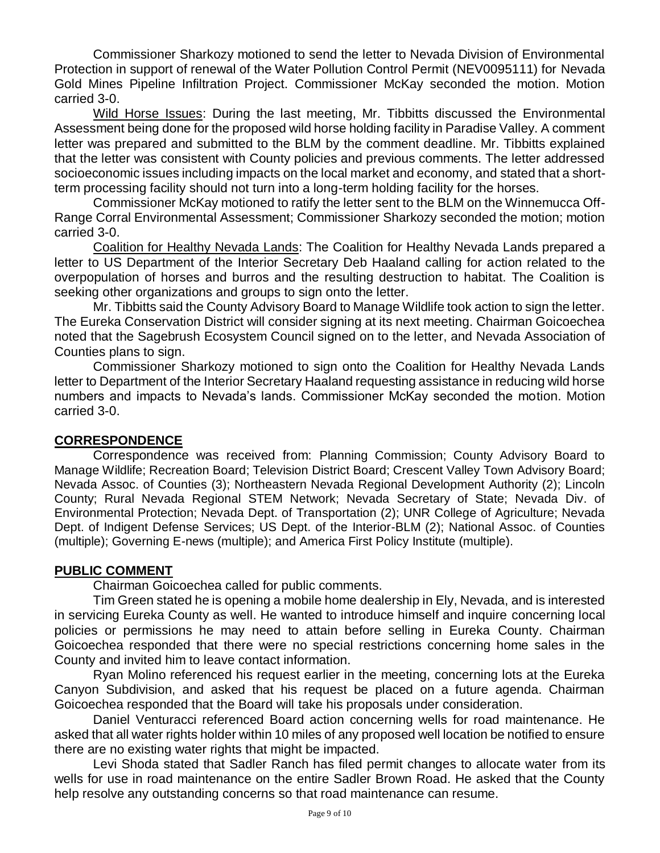Commissioner Sharkozy motioned to send the letter to Nevada Division of Environmental Protection in support of renewal of the Water Pollution Control Permit (NEV0095111) for Nevada Gold Mines Pipeline Infiltration Project. Commissioner McKay seconded the motion. Motion carried 3-0.

Wild Horse Issues: During the last meeting, Mr. Tibbitts discussed the Environmental Assessment being done for the proposed wild horse holding facility in Paradise Valley. A comment letter was prepared and submitted to the BLM by the comment deadline. Mr. Tibbitts explained that the letter was consistent with County policies and previous comments. The letter addressed socioeconomic issues including impacts on the local market and economy, and stated that a shortterm processing facility should not turn into a long-term holding facility for the horses.

Commissioner McKay motioned to ratify the letter sent to the BLM on the Winnemucca Off-Range Corral Environmental Assessment; Commissioner Sharkozy seconded the motion; motion carried 3-0.

Coalition for Healthy Nevada Lands: The Coalition for Healthy Nevada Lands prepared a letter to US Department of the Interior Secretary Deb Haaland calling for action related to the overpopulation of horses and burros and the resulting destruction to habitat. The Coalition is seeking other organizations and groups to sign onto the letter.

Mr. Tibbitts said the County Advisory Board to Manage Wildlife took action to sign the letter. The Eureka Conservation District will consider signing at its next meeting. Chairman Goicoechea noted that the Sagebrush Ecosystem Council signed on to the letter, and Nevada Association of Counties plans to sign.

Commissioner Sharkozy motioned to sign onto the Coalition for Healthy Nevada Lands letter to Department of the Interior Secretary Haaland requesting assistance in reducing wild horse numbers and impacts to Nevada's lands. Commissioner McKay seconded the motion. Motion carried 3-0.

### **CORRESPONDENCE**

Correspondence was received from: Planning Commission; County Advisory Board to Manage Wildlife; Recreation Board; Television District Board; Crescent Valley Town Advisory Board; Nevada Assoc. of Counties (3); Northeastern Nevada Regional Development Authority (2); Lincoln County; Rural Nevada Regional STEM Network; Nevada Secretary of State; Nevada Div. of Environmental Protection; Nevada Dept. of Transportation (2); UNR College of Agriculture; Nevada Dept. of Indigent Defense Services; US Dept. of the Interior-BLM (2); National Assoc. of Counties (multiple); Governing E-news (multiple); and America First Policy Institute (multiple).

### **PUBLIC COMMENT**

Chairman Goicoechea called for public comments.

Tim Green stated he is opening a mobile home dealership in Ely, Nevada, and is interested in servicing Eureka County as well. He wanted to introduce himself and inquire concerning local policies or permissions he may need to attain before selling in Eureka County. Chairman Goicoechea responded that there were no special restrictions concerning home sales in the County and invited him to leave contact information.

Ryan Molino referenced his request earlier in the meeting, concerning lots at the Eureka Canyon Subdivision, and asked that his request be placed on a future agenda. Chairman Goicoechea responded that the Board will take his proposals under consideration.

Daniel Venturacci referenced Board action concerning wells for road maintenance. He asked that all water rights holder within 10 miles of any proposed well location be notified to ensure there are no existing water rights that might be impacted.

Levi Shoda stated that Sadler Ranch has filed permit changes to allocate water from its wells for use in road maintenance on the entire Sadler Brown Road. He asked that the County help resolve any outstanding concerns so that road maintenance can resume.